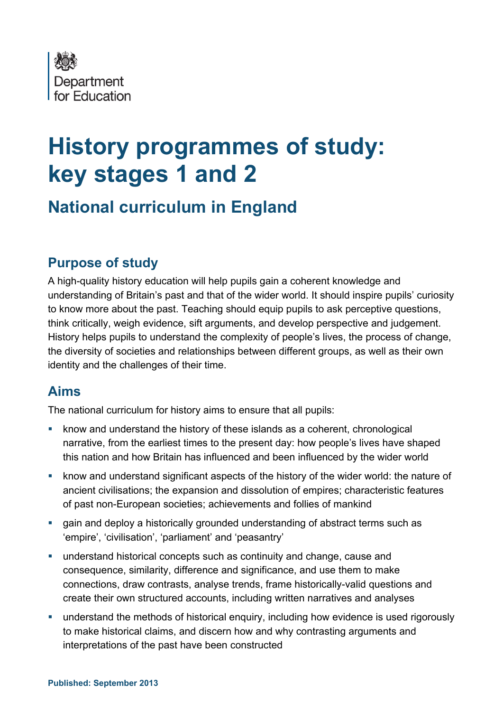

# **History programmes of study: key stages 1 and 2**

# **National curriculum in England**

# **Purpose of study**

A high-quality history education will help pupils gain a coherent knowledge and understanding of Britain's past and that of the wider world. It should inspire pupils' curiosity to know more about the past. Teaching should equip pupils to ask perceptive questions, think critically, weigh evidence, sift arguments, and develop perspective and judgement. History helps pupils to understand the complexity of people's lives, the process of change, the diversity of societies and relationships between different groups, as well as their own identity and the challenges of their time.

# **Aims**

The national curriculum for history aims to ensure that all pupils:

- know and understand the history of these islands as a coherent, chronological narrative, from the earliest times to the present day: how people's lives have shaped this nation and how Britain has influenced and been influenced by the wider world
- know and understand significant aspects of the history of the wider world: the nature of ancient civilisations; the expansion and dissolution of empires; characteristic features of past non-European societies; achievements and follies of mankind
- gain and deploy a historically grounded understanding of abstract terms such as 'empire', 'civilisation', 'parliament' and 'peasantry'
- understand historical concepts such as continuity and change, cause and consequence, similarity, difference and significance, and use them to make connections, draw contrasts, analyse trends, frame historically-valid questions and create their own structured accounts, including written narratives and analyses
- understand the methods of historical enquiry, including how evidence is used rigorously to make historical claims, and discern how and why contrasting arguments and interpretations of the past have been constructed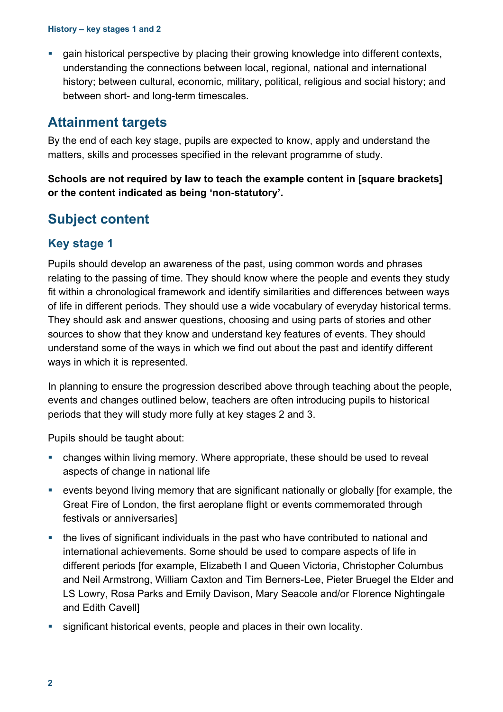gain historical perspective by placing their growing knowledge into different contexts, understanding the connections between local, regional, national and international history; between cultural, economic, military, political, religious and social history; and between short- and long-term timescales.

# **Attainment targets**

By the end of each key stage, pupils are expected to know, apply and understand the matters, skills and processes specified in the relevant programme of study.

**Schools are not required by law to teach the example content in [square brackets] or the content indicated as being 'non-statutory'.**

# **Subject content**

## **Key stage 1**

Pupils should develop an awareness of the past, using common words and phrases relating to the passing of time. They should know where the people and events they study fit within a chronological framework and identify similarities and differences between ways of life in different periods. They should use a wide vocabulary of everyday historical terms. They should ask and answer questions, choosing and using parts of stories and other sources to show that they know and understand key features of events. They should understand some of the ways in which we find out about the past and identify different ways in which it is represented.

In planning to ensure the progression described above through teaching about the people, events and changes outlined below, teachers are often introducing pupils to historical periods that they will study more fully at key stages 2 and 3.

Pupils should be taught about:

- changes within living memory. Where appropriate, these should be used to reveal aspects of change in national life
- events beyond living memory that are significant nationally or globally [for example, the Great Fire of London, the first aeroplane flight or events commemorated through festivals or anniversaries]
- the lives of significant individuals in the past who have contributed to national and international achievements. Some should be used to compare aspects of life in different periods [for example, Elizabeth I and Queen Victoria, Christopher Columbus and Neil Armstrong, William Caxton and Tim Berners-Lee, Pieter Bruegel the Elder and LS Lowry, Rosa Parks and Emily Davison, Mary Seacole and/or Florence Nightingale and Edith Cavell]
- significant historical events, people and places in their own locality.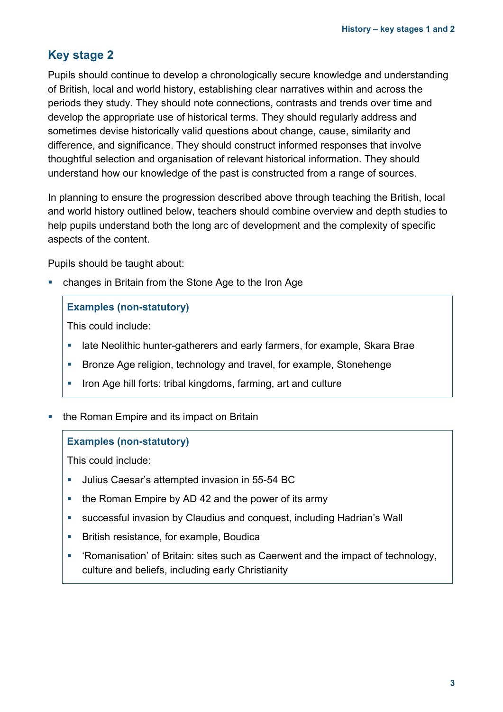## **Key stage 2**

Pupils should continue to develop a chronologically secure knowledge and understanding of British, local and world history, establishing clear narratives within and across the periods they study. They should note connections, contrasts and trends over time and develop the appropriate use of historical terms. They should regularly address and sometimes devise historically valid questions about change, cause, similarity and difference, and significance. They should construct informed responses that involve thoughtful selection and organisation of relevant historical information. They should understand how our knowledge of the past is constructed from a range of sources.

In planning to ensure the progression described above through teaching the British, local and world history outlined below, teachers should combine overview and depth studies to help pupils understand both the long arc of development and the complexity of specific aspects of the content.

Pupils should be taught about:

changes in Britain from the Stone Age to the Iron Age

## **Examples (non-statutory)**

This could include:

- late Neolithic hunter-gatherers and early farmers, for example, Skara Brae
- Bronze Age religion, technology and travel, for example, Stonehenge
- Iron Age hill forts: tribal kingdoms, farming, art and culture
- the Roman Empire and its impact on Britain

#### **Examples (non-statutory)**

This could include:

- Julius Caesar's attempted invasion in 55-54 BC
- the Roman Empire by AD 42 and the power of its army
- successful invasion by Claudius and conquest, including Hadrian's Wall
- **British resistance, for example, Boudically**
- 'Romanisation' of Britain: sites such as Caerwent and the impact of technology, culture and beliefs, including early Christianity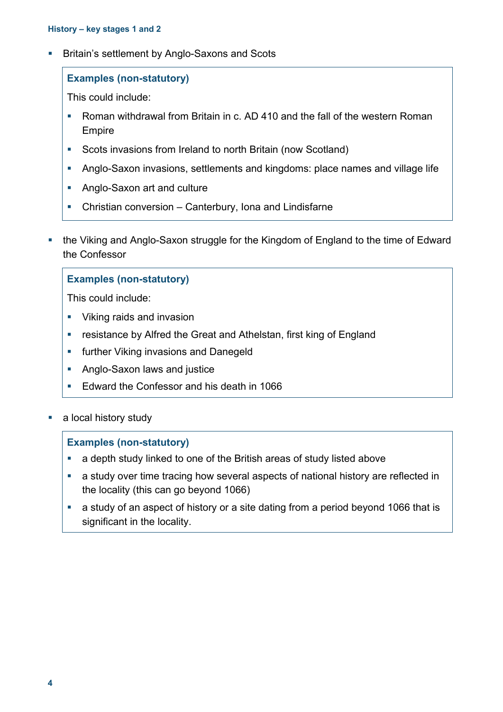**Britain's settlement by Anglo-Saxons and Scots** 

## **Examples (non-statutory)**

This could include:

- Roman withdrawal from Britain in c. AD 410 and the fall of the western Roman Empire
- Scots invasions from Ireland to north Britain (now Scotland)
- Anglo-Saxon invasions, settlements and kingdoms: place names and village life
- **Anglo-Saxon art and culture**
- Christian conversion Canterbury, Iona and Lindisfarne
- the Viking and Anglo-Saxon struggle for the Kingdom of England to the time of Edward the Confessor

## **Examples (non-statutory)**

This could include:

- **Viking raids and invasion**
- resistance by Alfred the Great and Athelstan, first king of England
- **Fig. 1** further Viking invasions and Danegeld
- **Anglo-Saxon laws and justice**
- **Edward the Confessor and his death in 1066**
- a local history study

## **Examples (non-statutory)**

- a depth study linked to one of the British areas of study listed above
- a study over time tracing how several aspects of national history are reflected in the locality (this can go beyond 1066)
- a study of an aspect of history or a site dating from a period beyond 1066 that is significant in the locality.